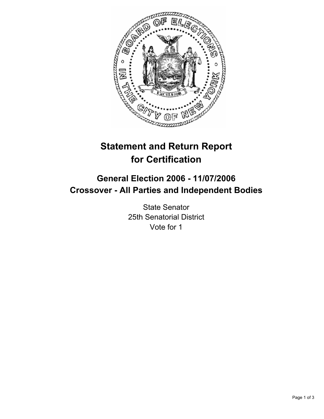

# **Statement and Return Report for Certification**

## **General Election 2006 - 11/07/2006 Crossover - All Parties and Independent Bodies**

State Senator 25th Senatorial District Vote for 1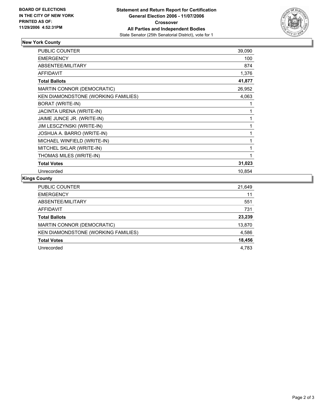

#### **New York County**

| <b>PUBLIC COUNTER</b>               | 39,090 |
|-------------------------------------|--------|
| <b>EMERGENCY</b>                    | 100    |
| ABSENTEE/MILITARY                   | 874    |
| <b>AFFIDAVIT</b>                    | 1,376  |
| <b>Total Ballots</b>                | 41,877 |
| MARTIN CONNOR (DEMOCRATIC)          | 26,952 |
| KEN DIAMONDSTONE (WORKING FAMILIES) | 4,063  |
| BORAT (WRITE-IN)                    |        |
| JACINTA URENA (WRITE-IN)            |        |
| JAIME JUNCE JR. (WRITE-IN)          |        |
| JIM LESCZYNSKI (WRITE-IN)           |        |
| JOSHUA A. BARRO (WRITE-IN)          |        |
| MICHAEL WINFIELD (WRITE-IN)         |        |
| MITCHEL SKLAR (WRITE-IN)            |        |
| THOMAS MILES (WRITE-IN)             |        |
| <b>Total Votes</b>                  | 31,023 |
| Unrecorded                          | 10,854 |

### **Kings County**

| PUBLIC COUNTER                      | 21,649 |
|-------------------------------------|--------|
| <b>EMERGENCY</b>                    | 11     |
| ABSENTEE/MILITARY                   | 551    |
| <b>AFFIDAVIT</b>                    | 731    |
| <b>Total Ballots</b>                | 23,239 |
| MARTIN CONNOR (DEMOCRATIC)          | 13,870 |
| KEN DIAMONDSTONE (WORKING FAMILIES) | 4,586  |
| <b>Total Votes</b>                  | 18,456 |
| Unrecorded                          | 4.783  |